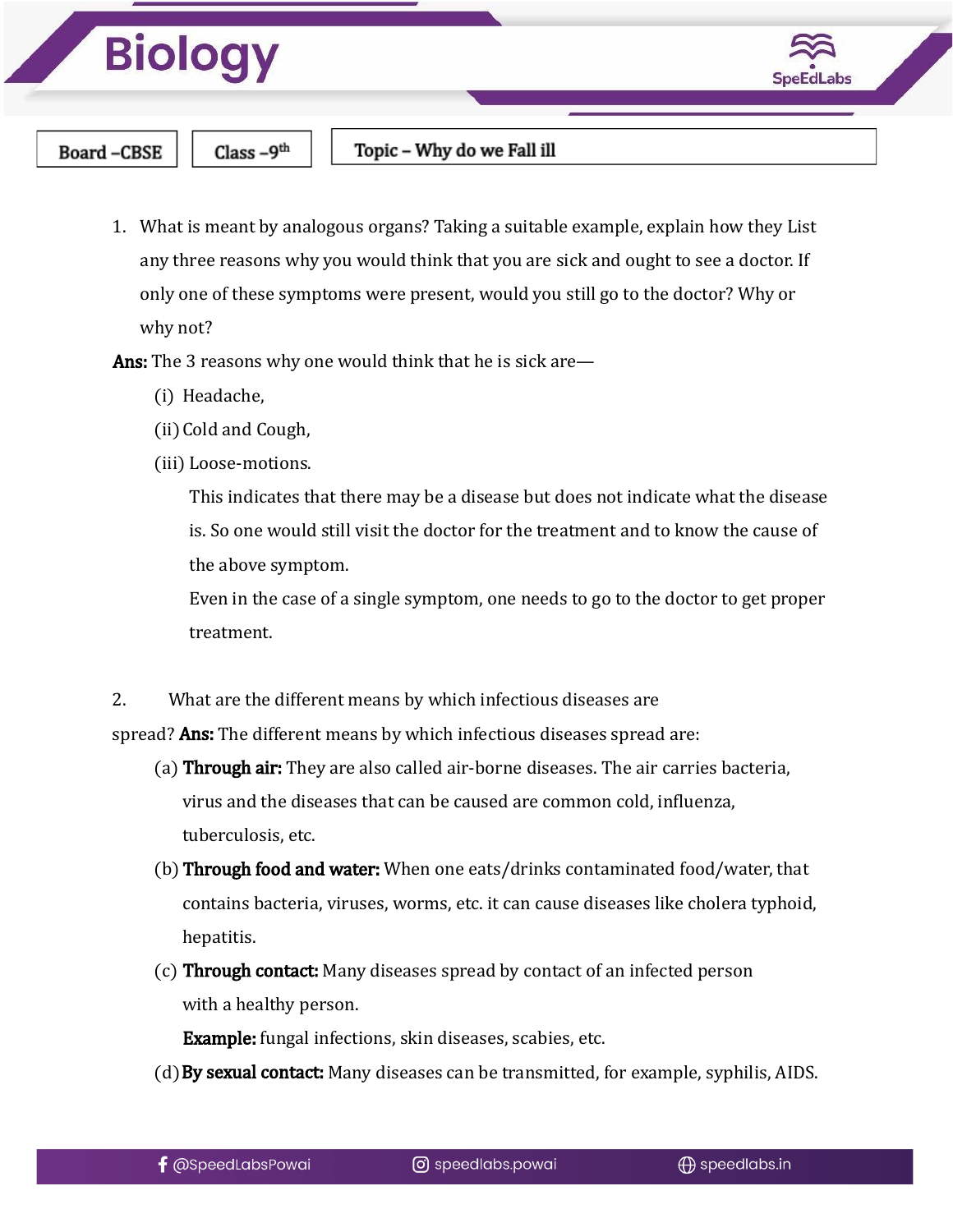



**Board-CBSE** 

Class-9<sup>th</sup>

Topic – Why do we Fall ill

1. What is meant by analogous organs? Taking a suitable example, explain how they List any three reasons why you would think that you are sick and ought to see a doctor. If only one of these symptoms were present, would you still go to the doctor? Why or why not?

Ans: The 3 reasons why one would think that he is sick are—

- (i) Headache,
- (ii)Cold and Cough,
- (iii) Loose-motions.

This indicates that there may be a disease but does not indicate what the disease is. So one would still visit the doctor for the treatment and to know the cause of the above symptom.

Even in the case of a single symptom, one needs to go to the doctor to get proper treatment.

2. What are the different means by which infectious diseases are spread? Ans: The different means by which infectious diseases spread are:

- (a) Through air: They are also called air-borne diseases. The air carries bacteria, virus and the diseases that can be caused are common cold, influenza, tuberculosis, etc.
- (b) Through food and water: When one eats/drinks contaminated food/water, that contains bacteria, viruses, worms, etc. it can cause diseases like cholera typhoid, hepatitis.
- (c) Through contact: Many diseases spread by contact of an infected person with a healthy person.

Example: fungal infections, skin diseases, scabies, etc.

(d) By sexual contact: Many diseases can be transmitted, for example, syphilis, AIDS.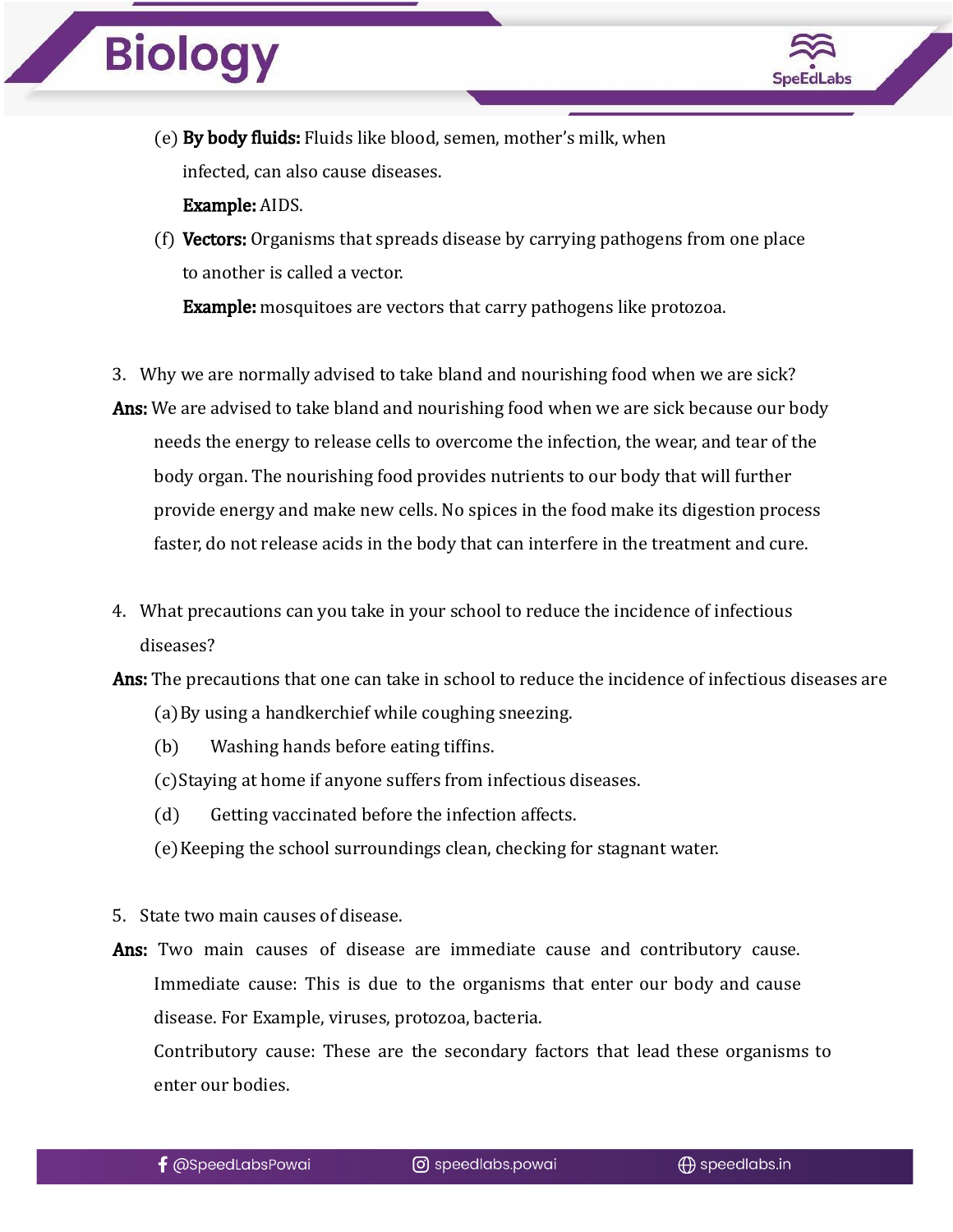

- (e) By body fluids: Fluids like blood, semen, mother's milk, when infected, can also cause diseases. Example: AIDS.
- (f) Vectors: Organisms that spreads disease by carrying pathogens from one place to another is called a vector. **Example:** mosquitoes are vectors that carry pathogens like protozoa.
- 3. Why we are normally advised to take bland and nourishing food when we are sick?
- Ans: We are advised to take bland and nourishing food when we are sick because our body needs the energy to release cells to overcome the infection, the wear, and tear of the body organ. The nourishing food provides nutrients to our body that will further provide energy and make new cells. No spices in the food make its digestion process faster, do not release acids in the body that can interfere in the treatment and cure.
- 4. What precautions can you take in your school to reduce the incidence of infectious diseases?
- Ans: The precautions that one can take in school to reduce the incidence of infectious diseases are (a)By using a handkerchief while coughing sneezing.
	- (b) Washing hands before eating tiffins.
	- (c)Staying at home if anyone suffers from infectious diseases.
	- (d) Getting vaccinated before the infection affects.
	- (e)Keeping the school surroundings clean, checking for stagnant water.
- 5. State two main causes of disease.
- Ans: Two main causes of disease are immediate cause and contributory cause. Immediate cause: This is due to the organisms that enter our body and cause disease. For Example, viruses, protozoa, bacteria.

Contributory cause: These are the secondary factors that lead these organisms to enter our bodies.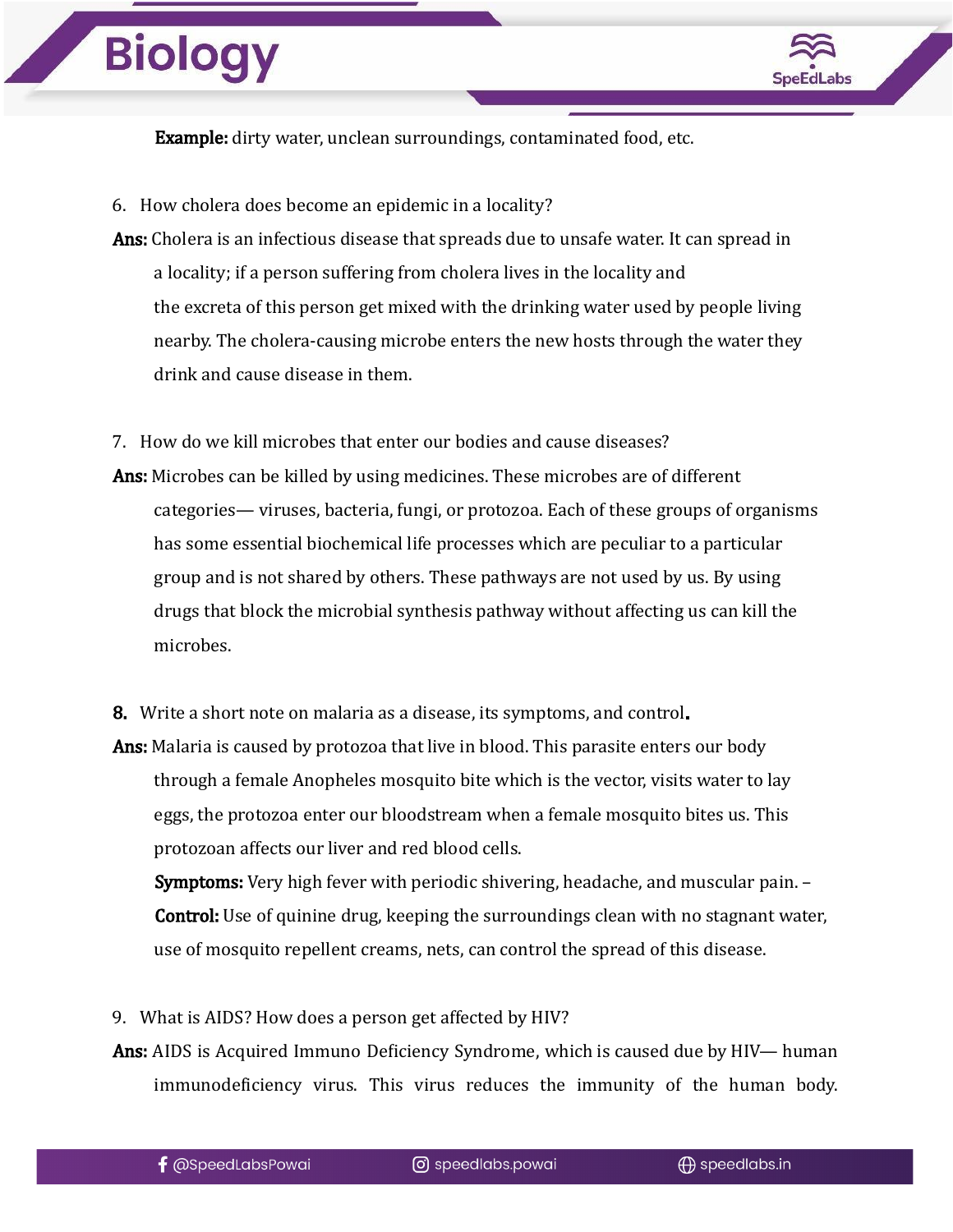

Example: dirty water, unclean surroundings, contaminated food, etc.

- 6. How cholera does become an epidemic in a locality?
- Ans: Cholera is an infectious disease that spreads due to unsafe water. It can spread in a locality; if a person suffering from cholera lives in the locality and the excreta of this person get mixed with the drinking water used by people living nearby. The cholera-causing microbe enters the new hosts through the water they drink and cause disease in them.
- 7. How do we kill microbes that enter our bodies and cause diseases?
- Ans: Microbes can be killed by using medicines. These microbes are of different categories— viruses, bacteria, fungi, or protozoa. Each of these groups of organisms has some essential biochemical life processes which are peculiar to a particular group and is not shared by others. These pathways are not used by us. By using drugs that block the microbial synthesis pathway without affecting us can kill the microbes.
- 8. Write a short note on malaria as a disease, its symptoms, and control.

Ans: Malaria is caused by protozoa that live in blood. This parasite enters our body through a female Anopheles mosquito bite which is the vector, visits water to lay eggs, the protozoa enter our bloodstream when a female mosquito bites us. This protozoan affects our liver and red blood cells.

Symptoms: Very high fever with periodic shivering, headache, and muscular pain. – Control: Use of quinine drug, keeping the surroundings clean with no stagnant water, use of mosquito repellent creams, nets, can control the spread of this disease.

- 9. What is AIDS? How does a person get affected by HIV?
- Ans: AIDS is Acquired Immuno Deficiency Syndrome, which is caused due by HIV— human immunodeficiency virus. This virus reduces the immunity of the human body.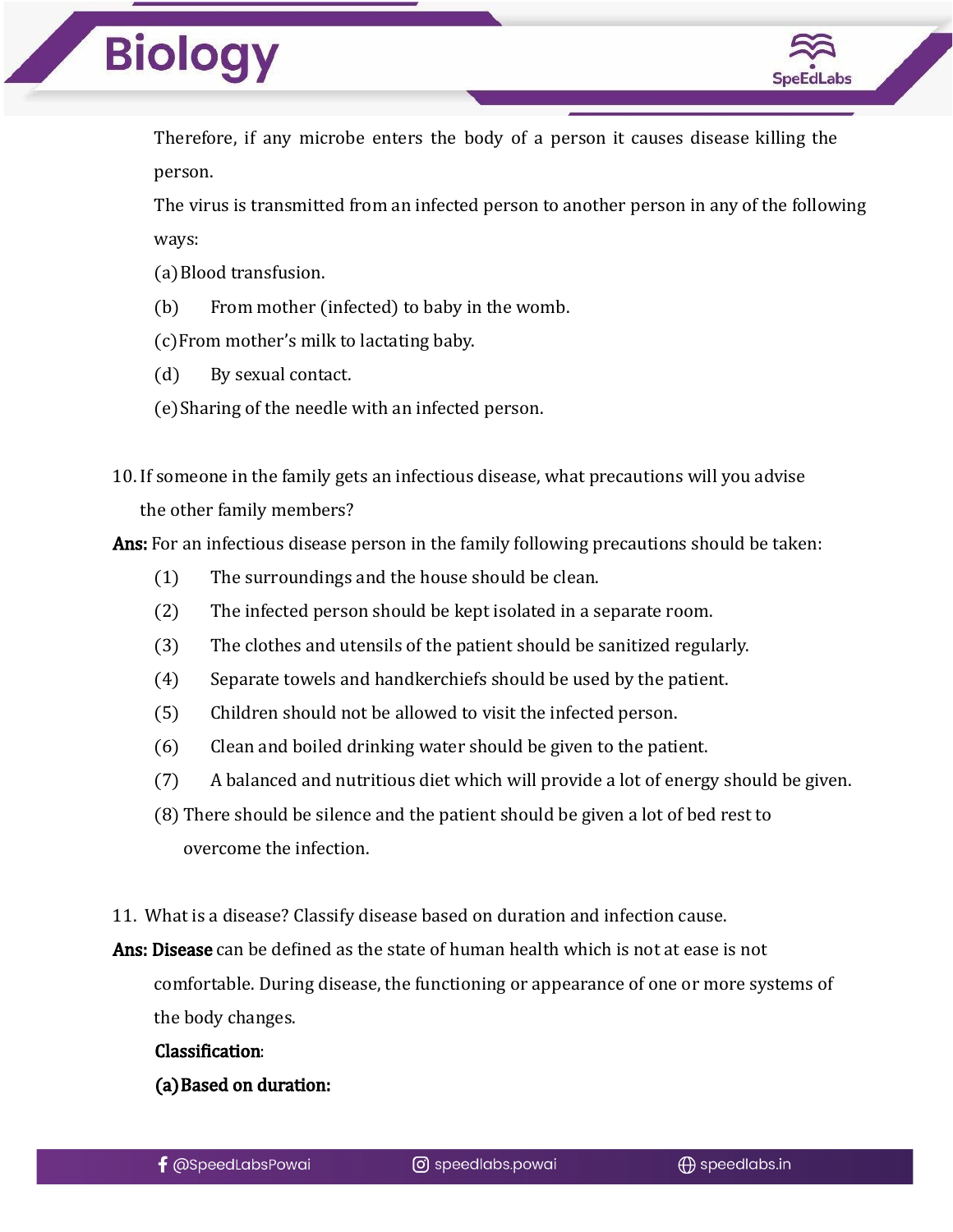

Therefore, if any microbe enters the body of a person it causes disease killing the person.

The virus is transmitted from an infected person to another person in any of the following ways:

- (a)Blood transfusion.
- (b) From mother (infected) to baby in the womb.
- (c)From mother's milk to lactating baby.
- (d) By sexual contact.
- (e)Sharing of the needle with an infected person.
- 10. If someone in the family gets an infectious disease, what precautions will you advise the other family members?

Ans: For an infectious disease person in the family following precautions should be taken:

- (1) The surroundings and the house should be clean.
- (2) The infected person should be kept isolated in a separate room.
- (3) The clothes and utensils of the patient should be sanitized regularly.
- (4) Separate towels and handkerchiefs should be used by the patient.
- (5) Children should not be allowed to visit the infected person.
- (6) Clean and boiled drinking water should be given to the patient.
- (7) A balanced and nutritious diet which will provide a lot of energy should be given.
- (8) There should be silence and the patient should be given a lot of bed rest to overcome the infection.
- 11. What is a disease? Classify disease based on duration and infection cause.

Ans: Disease can be defined as the state of human health which is not at ease is not comfortable. During disease, the functioning or appearance of one or more systems of the body changes.

#### Classification:

(a)Based on duration: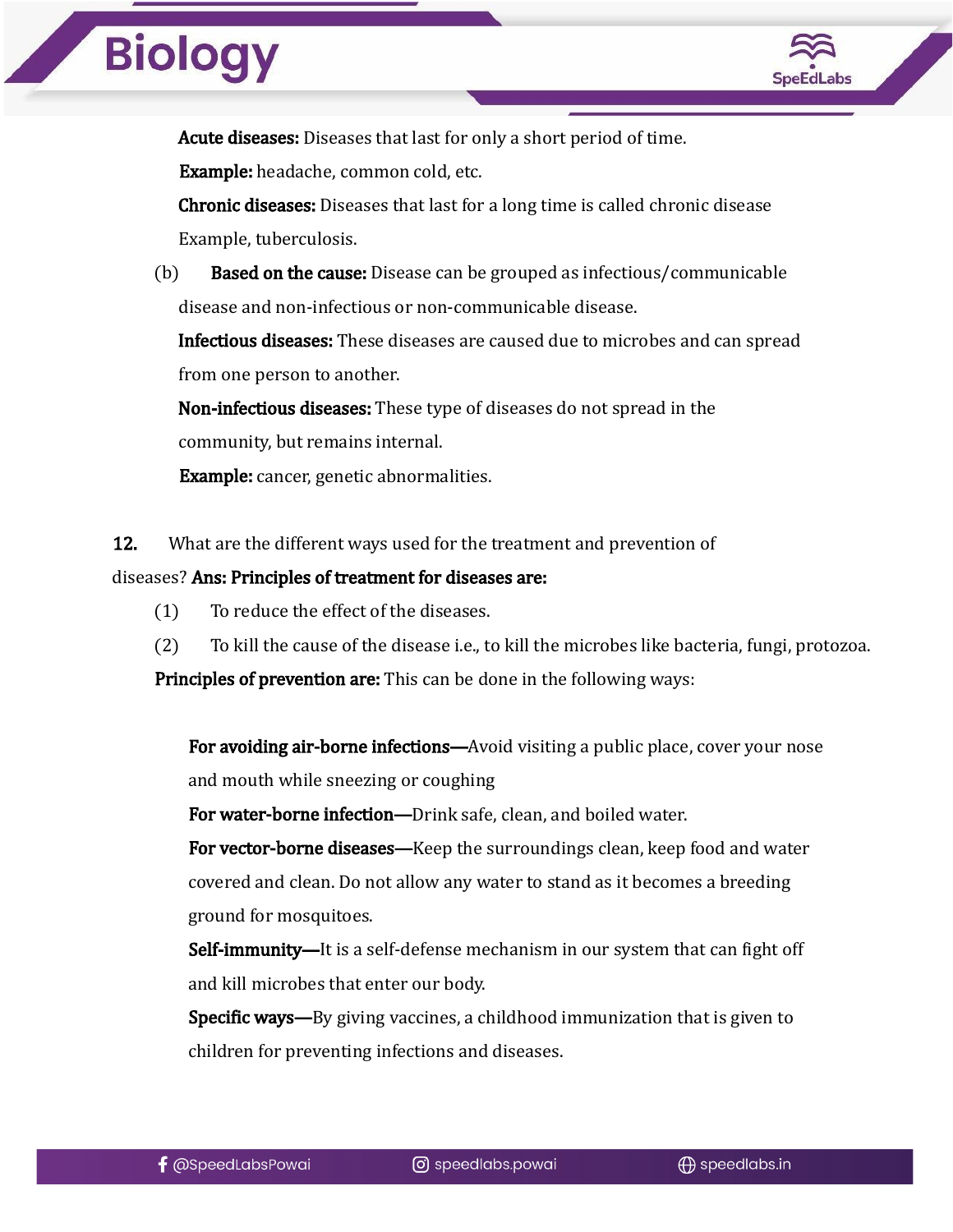

Acute diseases: Diseases that last for only a short period of time.

Example: headache, common cold, etc.

Chronic diseases: Diseases that last for a long time is called chronic disease Example, tuberculosis.

(b) Based on the cause: Disease can be grouped as infectious/communicable disease and non-infectious or non-communicable disease.

Infectious diseases: These diseases are caused due to microbes and can spread from one person to another.

Non-infectious diseases: These type of diseases do not spread in the community, but remains internal.

Example: cancer, genetic abnormalities.

12. What are the different ways used for the treatment and prevention of

diseases? Ans: Principles of treatment for diseases are:

- (1) To reduce the effect of the diseases.
- (2) To kill the cause of the disease i.e., to kill the microbes like bacteria, fungi, protozoa.

**Principles of prevention are:** This can be done in the following ways:

For avoiding air-borne infections—Avoid visiting a public place, cover your nose and mouth while sneezing or coughing

For water-borne infection—Drink safe, clean, and boiled water.

For vector-borne diseases—Keep the surroundings clean, keep food and water covered and clean. Do not allow any water to stand as it becomes a breeding ground for mosquitoes.

Self-immunity—It is a self-defense mechanism in our system that can fight off and kill microbes that enter our body.

Specific ways—By giving vaccines, a childhood immunization that is given to children for preventing infections and diseases.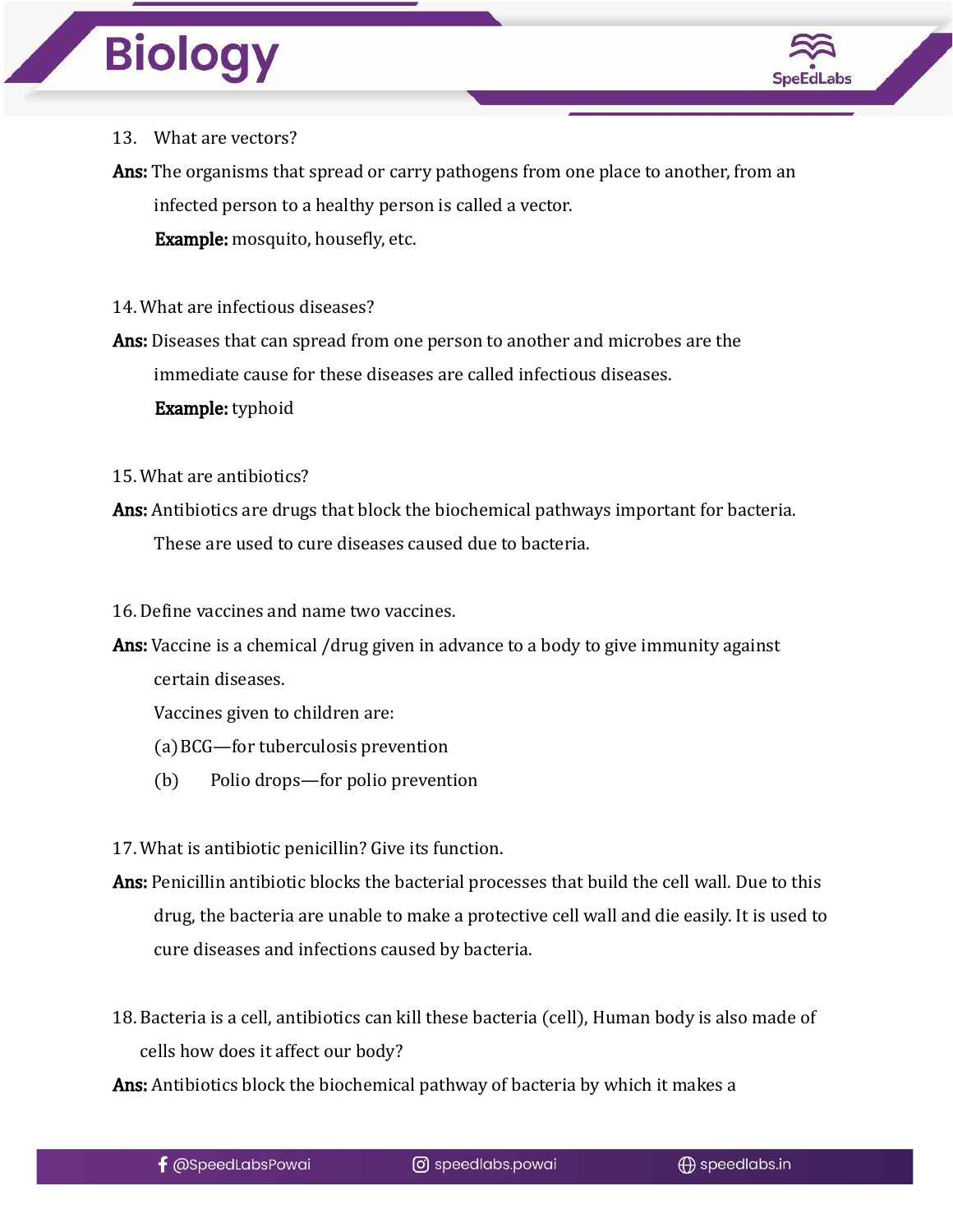

#### 13. What are vectors?

Ans: The organisms that spread or carry pathogens from one place to another, from an infected person to a healthy person is called a vector. Example: mosquito, housefly, etc.

14. What are infectious diseases?

Ans: Diseases that can spread from one person to another and microbes are the immediate cause for these diseases are called infectious diseases. Example: typhoid

15. What are antibiotics?

Ans: Antibiotics are drugs that block the biochemical pathways important for bacteria. These are used to cure diseases caused due to bacteria.

16. Define vaccines and name two vaccines.

Ans: Vaccine is a chemical /drug given in advance to a body to give immunity against certain diseases.

Vaccines given to children are:

(a)BCG—for tuberculosis prevention

(b) Polio drops—for polio prevention

17. What is antibiotic penicillin? Give its function.

- Ans: Penicillin antibiotic blocks the bacterial processes that build the cell wall. Due to this drug, the bacteria are unable to make a protective cell wall and die easily. It is used to cure diseases and infections caused by bacteria.
- 18. Bacteria is a cell, antibiotics can kill these bacteria (cell), Human body is also made of cells how does it affect our body?

Ans: Antibiotics block the biochemical pathway of bacteria by which it makes a